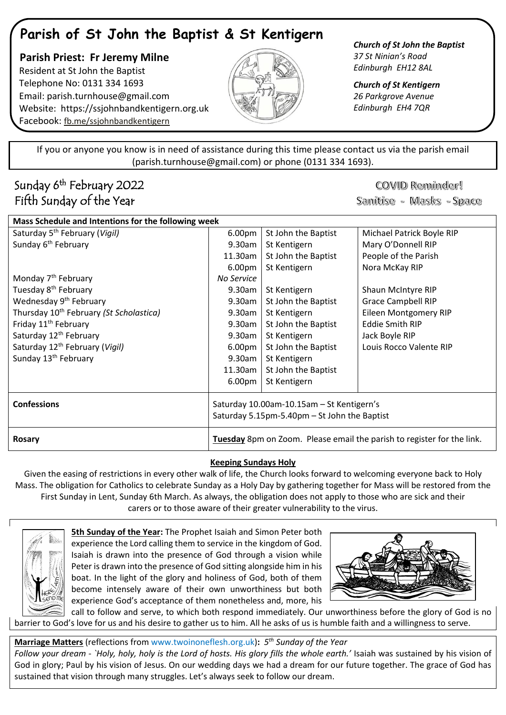# **Parish of St John the Baptist & St Kentigern**

 **Parish Priest: Fr Jeremy Milne** Resident at St John the Baptist Telephone No: 0131 334 1693 Email: [parish.turnhouse@gmail.com](mailto:parish.turnhouse@gmail.com)  Website: [https://ssjohnbandkentigern.org.uk](https://ssjohnbandkentigern.org.uk/) Facebook: [fb.me/ssjohnbandkentigern](https://fb.me/ssjohnbandkentigern)



*Church of St John the Baptist 37 St Ninian's Road Edinburgh EH12 8AL*

*Church of St Kentigern 26 Parkgrove Avenue Edinburgh EH4 7QR*

֡֡֡֡֡ If you or anyone you know is in need of assistance during this time please contact us via the parish email (parish.turnhouse@gmail.com) or phone (0131 334 1693).

I

l j

# Sunday 6<sup>th</sup> February 2022 Fifth Sunday of the Year

COVID Reminder!

Sanitise - Masks - Space

| Mass Schedule and Intentions for the following week |                                                                        |                     |                              |
|-----------------------------------------------------|------------------------------------------------------------------------|---------------------|------------------------------|
| Saturday 5 <sup>th</sup> February (Vigil)           | 6.00pm                                                                 | St John the Baptist | Michael Patrick Boyle RIP    |
| Sunday 6 <sup>th</sup> February                     | 9.30am                                                                 | St Kentigern        | Mary O'Donnell RIP           |
|                                                     | 11.30am                                                                | St John the Baptist | People of the Parish         |
|                                                     | 6.00 <sub>pm</sub>                                                     | St Kentigern        | Nora McKay RIP               |
| Monday 7 <sup>th</sup> February                     | No Service                                                             |                     |                              |
| Tuesday 8 <sup>th</sup> February                    | 9.30am                                                                 | St Kentigern        | Shaun McIntyre RIP           |
| Wednesday 9 <sup>th</sup> February                  | 9.30am                                                                 | St John the Baptist | <b>Grace Campbell RIP</b>    |
| Thursday 10 <sup>th</sup> February (St Scholastica) | 9.30am                                                                 | St Kentigern        | <b>Eileen Montgomery RIP</b> |
| Friday 11 <sup>th</sup> February                    | 9.30am                                                                 | St John the Baptist | <b>Eddie Smith RIP</b>       |
| Saturday 12 <sup>th</sup> February                  | 9.30am                                                                 | St Kentigern        | Jack Boyle RIP               |
| Saturday 12 <sup>th</sup> February (Vigil)          | 6.00 <sub>pm</sub>                                                     | St John the Baptist | Louis Rocco Valente RIP      |
| Sunday 13 <sup>th</sup> February                    | 9.30am                                                                 | St Kentigern        |                              |
|                                                     | 11.30am                                                                | St John the Baptist |                              |
|                                                     | 6.00 <sub>pm</sub>                                                     | St Kentigern        |                              |
| <b>Confessions</b>                                  | Saturday 10.00am-10.15am - St Kentigern's                              |                     |                              |
|                                                     | Saturday 5.15pm-5.40pm - St John the Baptist                           |                     |                              |
| Rosary                                              | Tuesday 8pm on Zoom. Please email the parish to register for the link. |                     |                              |
|                                                     |                                                                        |                     |                              |

## **Keeping Sundays Holy**

Given the easing of restrictions in every other walk of life, the Church looks forward to welcoming everyone back to Holy Mass. The obligation for Catholics to celebrate Sunday as a Holy Day by gathering together for Mass will be restored from the First Sunday in Lent, Sunday 6th March. As always, the obligation does not apply to those who are sick and their carers or to those aware of their greater vulnerability to the virus.



**5th Sunday of the Year:** The Prophet Isaiah and Simon Peter both experience the Lord calling them to service in the kingdom of God. Isaiah is drawn into the presence of God through a vision while Peter is drawn into the presence of God sitting alongside him in his boat. In the light of the glory and holiness of God, both of them become intensely aware of their own unworthiness but both experience God's acceptance of them nonetheless and, more, his



call to follow and serve, to which both respond immediately. Our unworthiness before the glory of God is no barrier to God's love for us and his desire to gather us to him. All he asks of us is humble faith and a willingness to serve.

**Marriage Matters** (reflections fro[m www.twoinoneflesh.org.uk\)](https://d.docs.live.net/f73d0dbfde17d20a/Documents/Church%202020/Newsletter/November/www.twoinoneflesh.org.uk)**:** *5 th Sunday of the Year Follow your dream* - *`Holy, holy, holy is the Lord of hosts. His glory fills the whole earth.'* Isaiah was sustained by his vision of God in glory; Paul by his vision of Jesus. On our wedding days we had a dream for our future together. The grace of God has sustained that vision through many struggles. Let's always seek to follow our dream.